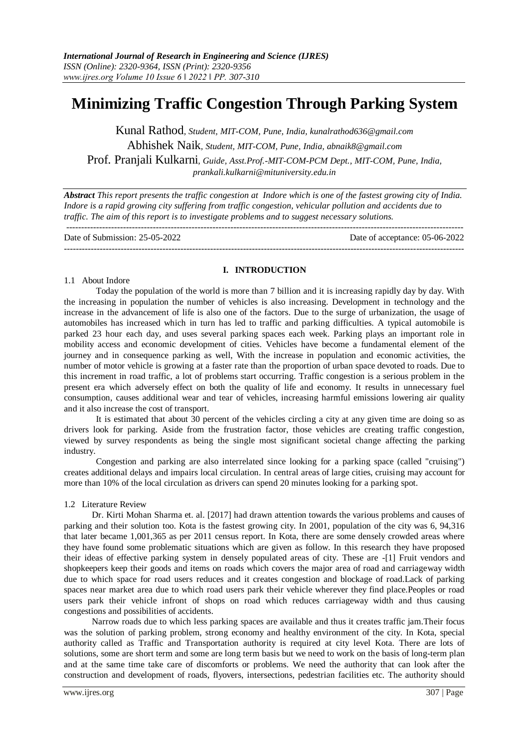# **Minimizing Traffic Congestion Through Parking System**

Kunal Rathod*, Student, MIT-COM, Pune, India, [kunalrathod636@gmail.com](mailto:kunalrathod636@gmail.com)* Abhishek Naik*, Student, MIT-COM, Pune, India, [abnaik8@gmail.com](mailto:abnaik8@gmail.com)* Prof. Pranjali Kulkarni*, Guide, Asst.Prof.-MIT-COM-PCM Dept., MIT-COM, Pune, India, [prankali.kulkarni@mituniversity.edu.in](mailto:prankali.kulkarni@mituniversity.edu.in)*

*Abstract This report presents the traffic congestion at Indore which is one of the fastest growing city of India. Indore is a rapid growing city suffering from traffic congestion, vehicular pollution and accidents due to traffic. The aim of this report is to investigate problems and to suggest necessary solutions.* -------------------------------------------------------------------------------------------------------------------------------------

Date of Submission: 25-05-2022 Date of acceptance: 05-06-2022

--------------------------------------------------------------------------------------------------------------------------------------

# **I. INTRODUCTION**

# 1.1 About Indore

Today the population of the world is more than 7 billion and it is increasing rapidly day by day. With the increasing in population the number of vehicles is also increasing. Development in technology and the increase in the advancement of life is also one of the factors. Due to the surge of urbanization, the usage of automobiles has increased which in turn has led to traffic and parking difficulties. A typical automobile is parked 23 hour each day, and uses several parking spaces each week. Parking plays an important role in mobility access and economic development of cities. Vehicles have become a fundamental element of the journey and in consequence parking as well, With the increase in population and economic activities, the number of motor vehicle is growing at a faster rate than the proportion of urban space devoted to roads. Due to this increment in road traffic, a lot of problems start occurring. Traffic congestion is a serious problem in the present era which adversely effect on both the quality of life and economy. It results in unnecessary fuel consumption, causes additional wear and tear of vehicles, increasing harmful emissions lowering air quality and it also increase the cost of transport.

It is estimated that about 30 percent of the vehicles circling a city at any given time are doing so as drivers look for parking. Aside from the frustration factor, those vehicles are creating traffic congestion, viewed by survey respondents as being the single most significant societal change affecting the parking industry.

Congestion and parking are also interrelated since looking for a parking space (called "cruising") creates additional delays and impairs local circulation. In central areas of large cities, cruising may account for more than 10% of the local circulation as drivers can spend 20 minutes looking for a parking spot.

# 1.2 Literature Review

Dr. Kirti Mohan Sharma et. al. [2017] had drawn attention towards the various problems and causes of parking and their solution too. Kota is the fastest growing city. In 2001, population of the city was 6, 94,316 that later became 1,001,365 as per 2011 census report. In Kota, there are some densely crowded areas where they have found some problematic situations which are given as follow. In this research they have proposed their ideas of effective parking system in densely populated areas of city. These are -[1] Fruit vendors and shopkeepers keep their goods and items on roads which covers the major area of road and carriageway width due to which space for road users reduces and it creates congestion and blockage of road.Lack of parking spaces near market area due to which road users park their vehicle wherever they find place.Peoples or road users park their vehicle infront of shops on road which reduces carriageway width and thus causing congestions and possibilities of accidents.

Narrow roads due to which less parking spaces are available and thus it creates traffic jam.Their focus was the solution of parking problem, strong economy and healthy environment of the city. In Kota, special authority called as Traffic and Transportation authority is required at city level Kota. There are lots of solutions, some are short term and some are long term basis but we need to work on the basis of long-term plan and at the same time take care of discomforts or problems. We need the authority that can look after the construction and development of roads, flyovers, intersections, pedestrian facilities etc. The authority should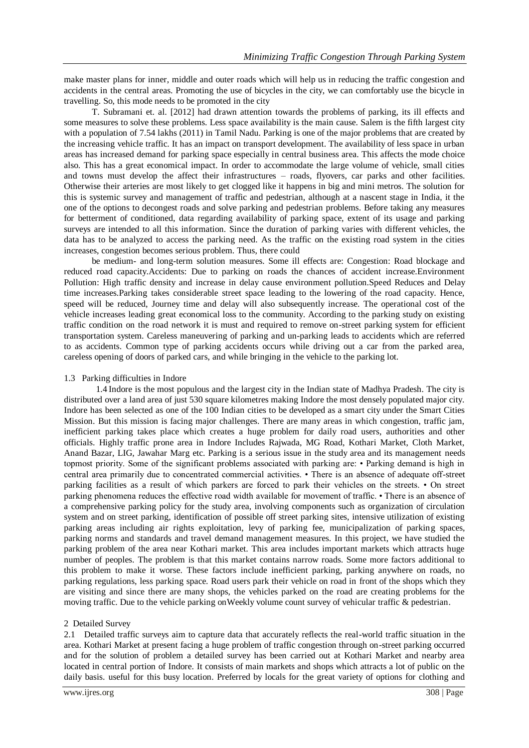make master plans for inner, middle and outer roads which will help us in reducing the traffic congestion and accidents in the central areas. Promoting the use of bicycles in the city, we can comfortably use the bicycle in travelling. So, this mode needs to be promoted in the city

T. Subramani et. al. [2012] had drawn attention towards the problems of parking, its ill effects and some measures to solve these problems. Less space availability is the main cause. Salem is the fifth largest city with a population of 7.54 lakhs (2011) in Tamil Nadu. Parking is one of the major problems that are created by the increasing vehicle traffic. It has an impact on transport development. The availability of less space in urban areas has increased demand for parking space especially in central business area. This affects the mode choice also. This has a great economical impact. In order to accommodate the large volume of vehicle, small cities and towns must develop the affect their infrastructures – roads, flyovers, car parks and other facilities. Otherwise their arteries are most likely to get clogged like it happens in big and mini metros. The solution for this is systemic survey and management of traffic and pedestrian, although at a nascent stage in India, it the one of the options to decongest roads and solve parking and pedestrian problems. Before taking any measures for betterment of conditioned, data regarding availability of parking space, extent of its usage and parking surveys are intended to all this information. Since the duration of parking varies with different vehicles, the data has to be analyzed to access the parking need. As the traffic on the existing road system in the cities increases, congestion becomes serious problem. Thus, there could

be medium- and long-term solution measures. Some ill effects are: Congestion: Road blockage and reduced road capacity.Accidents: Due to parking on roads the chances of accident increase.Environment Pollution: High traffic density and increase in delay cause environment pollution.Speed Reduces and Delay time increases.Parking takes considerable street space leading to the lowering of the road capacity. Hence, speed will be reduced, Journey time and delay will also subsequently increase. The operational cost of the vehicle increases leading great economical loss to the community. According to the parking study on existing traffic condition on the road network it is must and required to remove on-street parking system for efficient transportation system. Careless maneuvering of parking and un-parking leads to accidents which are referred to as accidents. Common type of parking accidents occurs while driving out a car from the parked area, careless opening of doors of parked cars, and while bringing in the vehicle to the parking lot.

# 1.3 Parking difficulties in Indore

1.4 Indore is the most populous and the largest city in the Indian state of Madhya Pradesh. The city is distributed over a land area of just 530 square kilometres making Indore the most densely populated major city. Indore has been selected as one of the 100 Indian cities to be developed as a smart city under the Smart Cities Mission. But this mission is facing major challenges. There are many areas in which congestion, traffic jam, inefficient parking takes place which creates a huge problem for daily road users, authorities and other officials. Highly traffic prone area in Indore Includes Rajwada, MG Road, Kothari Market, Cloth Market, Anand Bazar, LIG, Jawahar Marg etc. Parking is a serious issue in the study area and its management needs topmost priority. Some of the significant problems associated with parking are: • Parking demand is high in central area primarily due to concentrated commercial activities. • There is an absence of adequate off-street parking facilities as a result of which parkers are forced to park their vehicles on the streets. • On street parking phenomena reduces the effective road width available for movement of traffic. • There is an absence of a comprehensive parking policy for the study area, involving components such as organization of circulation system and on street parking, identification of possible off street parking sites, intensive utilization of existing parking areas including air rights exploitation, levy of parking fee, municipalization of parking spaces, parking norms and standards and travel demand management measures. In this project, we have studied the parking problem of the area near Kothari market. This area includes important markets which attracts huge number of peoples. The problem is that this market contains narrow roads. Some more factors additional to this problem to make it worse. These factors include inefficient parking, parking anywhere on roads, no parking regulations, less parking space. Road users park their vehicle on road in front of the shops which they are visiting and since there are many shops, the vehicles parked on the road are creating problems for the moving traffic. Due to the vehicle parking onWeekly volume count survey of vehicular traffic & pedestrian.

# 2 Detailed Survey

2.1 Detailed traffic surveys aim to capture data that accurately reflects the real-world traffic situation in the area. Kothari Market at present facing a huge problem of traffic congestion through on-street parking occurred and for the solution of problem a detailed survey has been carried out at Kothari Market and nearby area located in central portion of Indore. It consists of main markets and shops which attracts a lot of public on the daily basis. useful for this busy location. Preferred by locals for the great variety of options for clothing and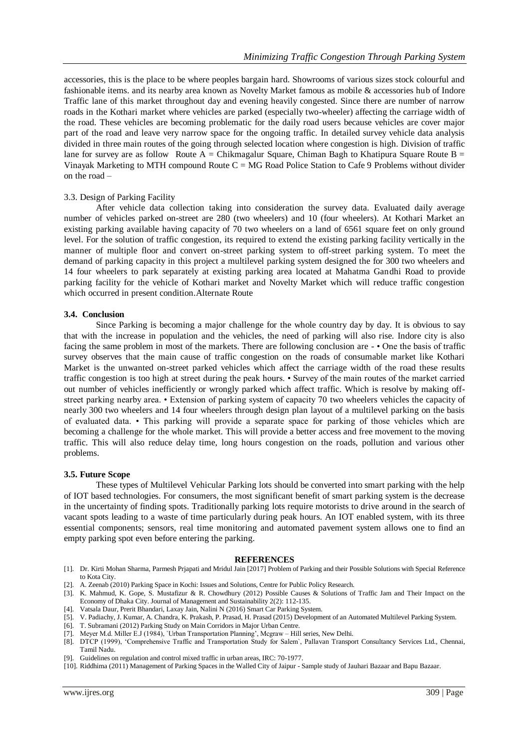accessories, this is the place to be where peoples bargain hard. Showrooms of various sizes stock colourful and fashionable items. and its nearby area known as Novelty Market famous as mobile & accessories hub of Indore Traffic lane of this market throughout day and evening heavily congested. Since there are number of narrow roads in the Kothari market where vehicles are parked (especially two-wheeler) affecting the carriage width of the road. These vehicles are becoming problematic for the daily road users because vehicles are cover major part of the road and leave very narrow space for the ongoing traffic. In detailed survey vehicle data analysis divided in three main routes of the going through selected location where congestion is high. Division of traffic lane for survey are as follow-Route  $A = Chikmag$ alur Square, Chiman Bagh to Khatipura Square Route B = Vinayak Marketing to MTH compound Route C = MG Road Police Station to Cafe 9 Problems without divider on the road –

#### 3.3. Design of Parking Facility

After vehicle data collection taking into consideration the survey data. Evaluated daily average number of vehicles parked on-street are 280 (two wheelers) and 10 (four wheelers). At Kothari Market an existing parking available having capacity of 70 two wheelers on a land of 6561 square feet on only ground level. For the solution of traffic congestion, its required to extend the existing parking facility vertically in the manner of multiple floor and convert on-street parking system to off-street parking system. To meet the demand of parking capacity in this project a multilevel parking system designed the for 300 two wheelers and 14 four wheelers to park separately at existing parking area located at Mahatma Gandhi Road to provide parking facility for the vehicle of Kothari market and Novelty Market which will reduce traffic congestion which occurred in present condition.Alternate Route

# **3.4. Conclusion**

Since Parking is becoming a major challenge for the whole country day by day. It is obvious to say that with the increase in population and the vehicles, the need of parking will also rise. Indore city is also facing the same problem in most of the markets. There are following conclusion are - • One the basis of traffic survey observes that the main cause of traffic congestion on the roads of consumable market like Kothari Market is the unwanted on-street parked vehicles which affect the carriage width of the road these results traffic congestion is too high at street during the peak hours. • Survey of the main routes of the market carried out number of vehicles inefficiently or wrongly parked which affect traffic. Which is resolve by making offstreet parking nearby area. • Extension of parking system of capacity 70 two wheelers vehicles the capacity of nearly 300 two wheelers and 14 four wheelers through design plan layout of a multilevel parking on the basis of evaluated data. • This parking will provide a separate space for parking of those vehicles which are becoming a challenge for the whole market. This will provide a better access and free movement to the moving traffic. This will also reduce delay time, long hours congestion on the roads, pollution and various other problems.

#### **3.5. Future Scope**

These types of Multilevel Vehicular Parking lots should be converted into smart parking with the help of IOT based technologies. For consumers, the most significant benefit of smart parking system is the decrease in the uncertainty of finding spots. Traditionally parking lots require motorists to drive around in the search of vacant spots leading to a waste of time particularly during peak hours. An IOT enabled system, with its three essential components; sensors, real time monitoring and automated pavement system allows one to find an empty parking spot even before entering the parking.

#### **REFERENCES**

- [1]. Dr. Kirti Mohan Sharma, Parmesh Prjapati and Mridul Jain [2017] Problem of Parking and their Possible Solutions with Special Reference to Kota City.
- [2]. A. Zeenab (2010) Parking Space in Kochi: Issues and Solutions, Centre for Public Policy Research.
- [3]. K. Mahmud, K. Gope, S. Mustafizur & R. Chowdhury (2012) Possible Causes & Solutions of Traffic Jam and Their Impact on the Economy of Dhaka City. Journal of Management and Sustainability 2(2): 112-135.
- [4]. Vatsala Daur, Prerit Bhandari, Laxay Jain, Nalini N (2016) Smart Car Parking System.
- [5]. V. Padiachy, J. Kumar, A. Chandra, K. Prakash, P. Prasad, H. Prasad (2015) Development of an Automated Multilevel Parking System.
- [6]. T. Subramani (2012) Parking Study on Main Corridors in Major Urban Centre.
- [7]. Meyer M.d. Miller E.J (1984), `Urban Transportation Planning', Mcgraw Hill series, New Delhi.
- [8]. DTCP (1999), 'Comprehensive Traffic and Transportation Study for Salem`, Pallavan Transport Consultancy Services Ltd., Chennai, Tamil Nadu.
- [9]. Guidelines on regulation and control mixed traffic in urban areas, IRC: 70-1977.
- [10]. Riddhima (2011) Management of Parking Spaces in the Walled City of Jaipur Sample study of Jauhari Bazaar and Bapu Bazaar.